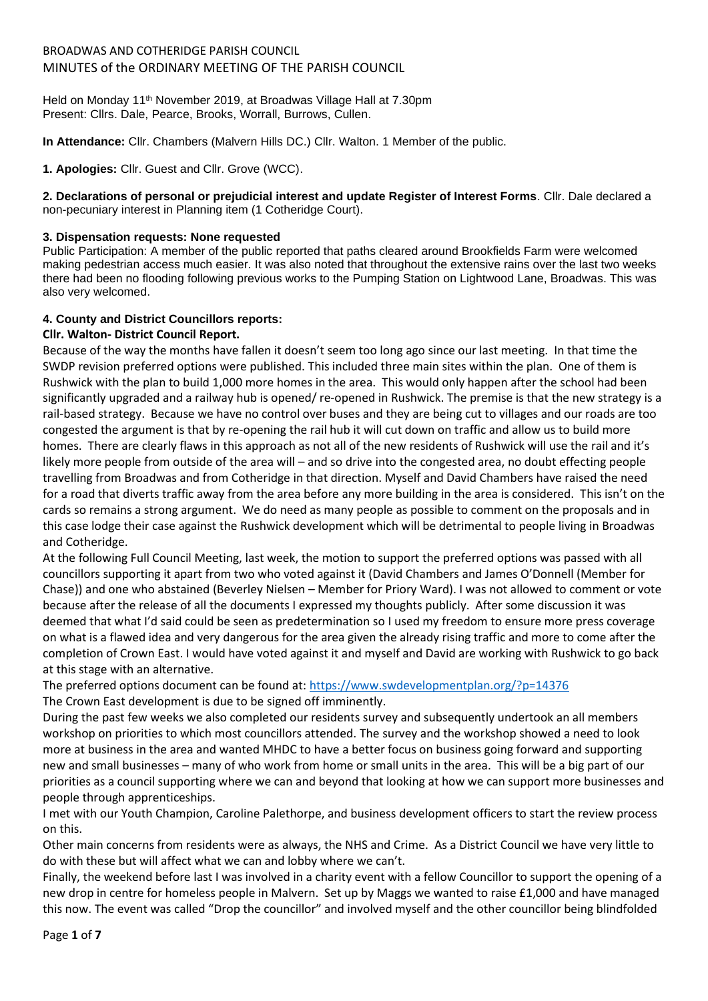## BROADWAS AND COTHERIDGE PARISH COUNCIL MINUTES of the ORDINARY MEETING OF THE PARISH COUNCIL

Held on Monday 11<sup>th</sup> November 2019, at Broadwas Village Hall at 7.30pm Present: Cllrs. Dale, Pearce, Brooks, Worrall, Burrows, Cullen.

**In Attendance:** Cllr. Chambers (Malvern Hills DC.) Cllr. Walton. 1 Member of the public.

#### **1. Apologies:** Cllr. Guest and Cllr. Grove (WCC).

#### **2. Declarations of personal or prejudicial interest and update Register of Interest Forms**. Cllr. Dale declared a non-pecuniary interest in Planning item (1 Cotheridge Court).

#### **3. Dispensation requests: None requested**

Public Participation: A member of the public reported that paths cleared around Brookfields Farm were welcomed making pedestrian access much easier. It was also noted that throughout the extensive rains over the last two weeks there had been no flooding following previous works to the Pumping Station on Lightwood Lane, Broadwas. This was also very welcomed.

#### **4. County and District Councillors reports:**

### **Cllr. Walton- District Council Report.**

Because of the way the months have fallen it doesn't seem too long ago since our last meeting. In that time the SWDP revision preferred options were published. This included three main sites within the plan. One of them is Rushwick with the plan to build 1,000 more homes in the area. This would only happen after the school had been significantly upgraded and a railway hub is opened/ re-opened in Rushwick. The premise is that the new strategy is a rail-based strategy. Because we have no control over buses and they are being cut to villages and our roads are too congested the argument is that by re-opening the rail hub it will cut down on traffic and allow us to build more homes. There are clearly flaws in this approach as not all of the new residents of Rushwick will use the rail and it's likely more people from outside of the area will – and so drive into the congested area, no doubt effecting people travelling from Broadwas and from Cotheridge in that direction. Myself and David Chambers have raised the need for a road that diverts traffic away from the area before any more building in the area is considered. This isn't on the cards so remains a strong argument. We do need as many people as possible to comment on the proposals and in this case lodge their case against the Rushwick development which will be detrimental to people living in Broadwas and Cotheridge.

At the following Full Council Meeting, last week, the motion to support the preferred options was passed with all councillors supporting it apart from two who voted against it (David Chambers and James O'Donnell (Member for Chase)) and one who abstained (Beverley Nielsen – Member for Priory Ward). I was not allowed to comment or vote because after the release of all the documents I expressed my thoughts publicly. After some discussion it was deemed that what I'd said could be seen as predetermination so I used my freedom to ensure more press coverage on what is a flawed idea and very dangerous for the area given the already rising traffic and more to come after the completion of Crown East. I would have voted against it and myself and David are working with Rushwick to go back at this stage with an alternative.

The preferred options document can be found at: <https://www.swdevelopmentplan.org/?p=14376> The Crown East development is due to be signed off imminently.

During the past few weeks we also completed our residents survey and subsequently undertook an all members workshop on priorities to which most councillors attended. The survey and the workshop showed a need to look more at business in the area and wanted MHDC to have a better focus on business going forward and supporting new and small businesses – many of who work from home or small units in the area. This will be a big part of our priorities as a council supporting where we can and beyond that looking at how we can support more businesses and people through apprenticeships.

I met with our Youth Champion, Caroline Palethorpe, and business development officers to start the review process on this.

Other main concerns from residents were as always, the NHS and Crime. As a District Council we have very little to do with these but will affect what we can and lobby where we can't.

Finally, the weekend before last I was involved in a charity event with a fellow Councillor to support the opening of a new drop in centre for homeless people in Malvern. Set up by Maggs we wanted to raise £1,000 and have managed this now. The event was called "Drop the councillor" and involved myself and the other councillor being blindfolded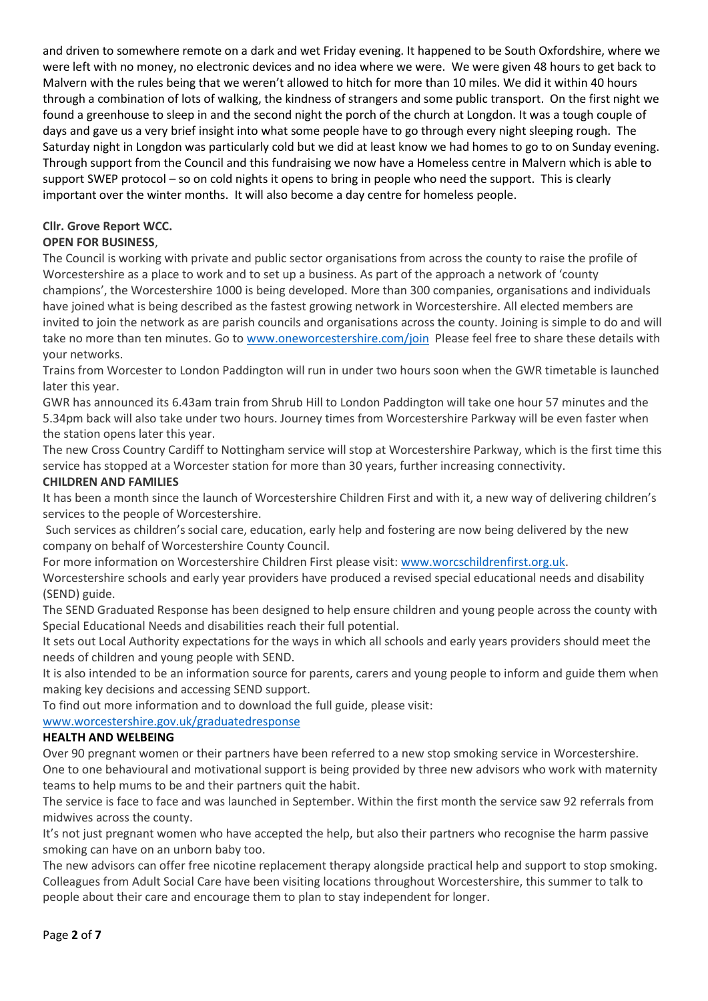and driven to somewhere remote on a dark and wet Friday evening. It happened to be South Oxfordshire, where we were left with no money, no electronic devices and no idea where we were. We were given 48 hours to get back to Malvern with the rules being that we weren't allowed to hitch for more than 10 miles. We did it within 40 hours through a combination of lots of walking, the kindness of strangers and some public transport. On the first night we found a greenhouse to sleep in and the second night the porch of the church at Longdon. It was a tough couple of days and gave us a very brief insight into what some people have to go through every night sleeping rough. The Saturday night in Longdon was particularly cold but we did at least know we had homes to go to on Sunday evening. Through support from the Council and this fundraising we now have a Homeless centre in Malvern which is able to support SWEP protocol – so on cold nights it opens to bring in people who need the support. This is clearly important over the winter months. It will also become a day centre for homeless people.

## **Cllr. Grove Report WCC.**

### **OPEN FOR BUSINESS**,

The Council is working with private and public sector organisations from across the county to raise the profile of Worcestershire as a place to work and to set up a business. As part of the approach a network of 'county champions', the Worcestershire 1000 is being developed. More than 300 companies, organisations and individuals have joined what is being described as the fastest growing network in Worcestershire. All elected members are invited to join the network as are parish councils and organisations across the county. Joining is simple to do and will take no more than ten minutes. Go t[o www.oneworcestershire.com/join](http://www.oneworcestershire.com/join) Please feel free to share these details with your networks.

Trains from Worcester to London Paddington will run in under two hours soon when the GWR timetable is launched later this year.

GWR has announced its 6.43am train from Shrub Hill to London Paddington will take one hour 57 minutes and the 5.34pm back will also take under two hours. Journey times from Worcestershire Parkway will be even faster when the station opens later this year.

The new Cross Country Cardiff to Nottingham service will stop at Worcestershire Parkway, which is the first time this service has stopped at a Worcester station for more than 30 years, further increasing connectivity.

#### **CHILDREN AND FAMILIES**

It has been a month since the launch of Worcestershire Children First and with it, a new way of delivering children's services to the people of Worcestershire.

Such services as children's social care, education, early help and fostering are now being delivered by the new company on behalf of Worcestershire County Council.

For more information on Worcestershire Children First please visit: [www.worcschildrenfirst.org.uk.](http://www.worcschildrenfirst.org.uk/)

Worcestershire schools and early year providers have produced a revised special educational needs and disability (SEND) guide.

The SEND Graduated Response has been designed to help ensure children and young people across the county with Special Educational Needs and disabilities reach their full potential.

It sets out Local Authority expectations for the ways in which all schools and early years providers should meet the needs of children and young people with SEND.

It is also intended to be an information source for parents, carers and young people to inform and guide them when making key decisions and accessing SEND support.

To find out more information and to download the full guide, please visit:

[www.worcestershire.gov.uk/graduatedresponse](http://www.worcestershire.gov.uk/graduatedresponse)

#### **HEALTH AND WELBEING**

Over 90 pregnant women or their partners have been referred to a new stop smoking service in Worcestershire. One to one behavioural and motivational support is being provided by three new advisors who work with maternity teams to help mums to be and their partners quit the habit.

The service is face to face and was launched in September. Within the first month the service saw 92 referrals from midwives across the county.

It's not just pregnant women who have accepted the help, but also their partners who recognise the harm passive smoking can have on an unborn baby too.

The new advisors can offer free nicotine replacement therapy alongside practical help and support to stop smoking. Colleagues from Adult Social Care have been visiting locations throughout Worcestershire, this summer to talk to people about their care and encourage them to plan to stay independent for longer.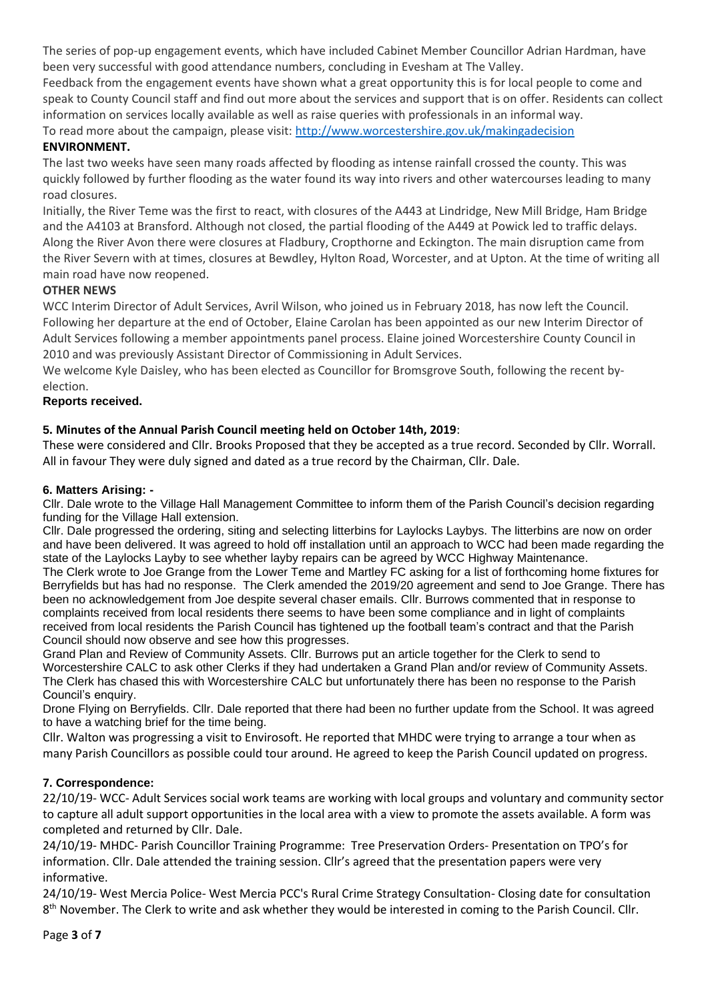The series of pop-up engagement events, which have included Cabinet Member Councillor Adrian Hardman, have been very successful with good attendance numbers, concluding in Evesham at The Valley.

Feedback from the engagement events have shown what a great opportunity this is for local people to come and speak to County Council staff and find out more about the services and support that is on offer. Residents can collect information on services locally available as well as raise queries with professionals in an informal way. To read more about the campaign, please visit:<http://www.worcestershire.gov.uk/makingadecision>

## **ENVIRONMENT.**

The last two weeks have seen many roads affected by flooding as intense rainfall crossed the county. This was quickly followed by further flooding as the water found its way into rivers and other watercourses leading to many road closures.

Initially, the River Teme was the first to react, with closures of the A443 at Lindridge, New Mill Bridge, Ham Bridge and the A4103 at Bransford. Although not closed, the partial flooding of the A449 at Powick led to traffic delays. Along the River Avon there were closures at Fladbury, Cropthorne and Eckington. The main disruption came from the River Severn with at times, closures at Bewdley, Hylton Road, Worcester, and at Upton. At the time of writing all main road have now reopened.

### **OTHER NEWS**

WCC Interim Director of Adult Services, Avril Wilson, who joined us in February 2018, has now left the Council. Following her departure at the end of October, Elaine Carolan has been appointed as our new Interim Director of Adult Services following a member appointments panel process. Elaine joined Worcestershire County Council in 2010 and was previously Assistant Director of Commissioning in Adult Services.

We welcome Kyle Daisley, who has been elected as Councillor for Bromsgrove South, following the recent byelection.

## **Reports received.**

## **5. Minutes of the Annual Parish Council meeting held on October 14th, 2019**:

These were considered and Cllr. Brooks Proposed that they be accepted as a true record. Seconded by Cllr. Worrall. All in favour They were duly signed and dated as a true record by the Chairman, Cllr. Dale.

### **6. Matters Arising: -**

Cllr. Dale wrote to the Village Hall Management Committee to inform them of the Parish Council's decision regarding funding for the Village Hall extension.

Cllr. Dale progressed the ordering, siting and selecting litterbins for Laylocks Laybys. The litterbins are now on order and have been delivered. It was agreed to hold off installation until an approach to WCC had been made regarding the state of the Laylocks Layby to see whether layby repairs can be agreed by WCC Highway Maintenance.

The Clerk wrote to Joe Grange from the Lower Teme and Martley FC asking for a list of forthcoming home fixtures for Berryfields but has had no response. The Clerk amended the 2019/20 agreement and send to Joe Grange. There has been no acknowledgement from Joe despite several chaser emails. Cllr. Burrows commented that in response to complaints received from local residents there seems to have been some compliance and in light of complaints received from local residents the Parish Council has tightened up the football team's contract and that the Parish Council should now observe and see how this progresses.

Grand Plan and Review of Community Assets. Cllr. Burrows put an article together for the Clerk to send to Worcestershire CALC to ask other Clerks if they had undertaken a Grand Plan and/or review of Community Assets. The Clerk has chased this with Worcestershire CALC but unfortunately there has been no response to the Parish Council's enquiry.

Drone Flying on Berryfields. Cllr. Dale reported that there had been no further update from the School. It was agreed to have a watching brief for the time being.

Cllr. Walton was progressing a visit to Envirosoft. He reported that MHDC were trying to arrange a tour when as many Parish Councillors as possible could tour around. He agreed to keep the Parish Council updated on progress.

### **7. Correspondence:**

22/10/19- WCC- Adult Services social work teams are working with local groups and voluntary and community sector to capture all adult support opportunities in the local area with a view to promote the assets available. A form was completed and returned by Cllr. Dale.

24/10/19- MHDC- Parish Councillor Training Programme: Tree Preservation Orders- Presentation on TPO's for information. Cllr. Dale attended the training session. Cllr's agreed that the presentation papers were very informative.

24/10/19- West Mercia Police- West Mercia PCC's Rural Crime Strategy Consultation- Closing date for consultation 8<sup>th</sup> November. The Clerk to write and ask whether they would be interested in coming to the Parish Council. Cllr.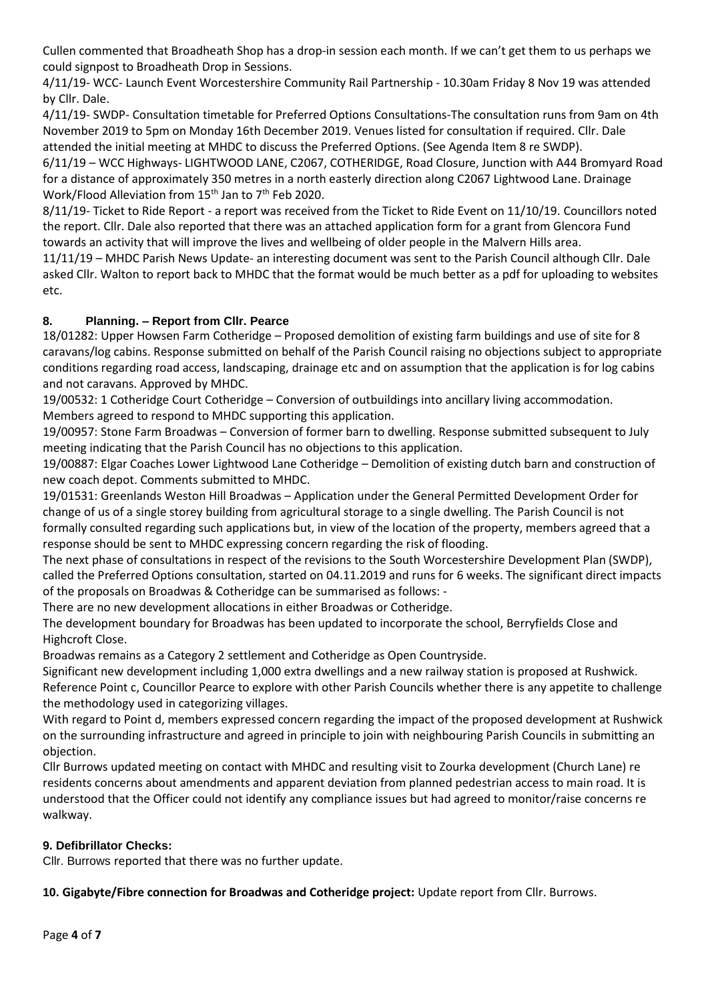Cullen commented that Broadheath Shop has a drop-in session each month. If we can't get them to us perhaps we could signpost to Broadheath Drop in Sessions.

4/11/19- WCC- Launch Event Worcestershire Community Rail Partnership - 10.30am Friday 8 Nov 19 was attended by Cllr. Dale.

4/11/19- SWDP- Consultation timetable for Preferred Options Consultations-The consultation runs from 9am on 4th November 2019 to 5pm on Monday 16th December 2019. Venues listed for consultation if required. Cllr. Dale attended the initial meeting at MHDC to discuss the Preferred Options. (See Agenda Item 8 re SWDP).

6/11/19 – WCC Highways- LIGHTWOOD LANE, C2067, COTHERIDGE, Road Closure, Junction with A44 Bromyard Road for a distance of approximately 350 metres in a north easterly direction along C2067 Lightwood Lane. Drainage Work/Flood Alleviation from 15<sup>th</sup> Jan to 7<sup>th</sup> Feb 2020.

8/11/19- Ticket to Ride Report - a report was received from the Ticket to Ride Event on 11/10/19. Councillors noted the report. Cllr. Dale also reported that there was an attached application form for a grant from Glencora Fund towards an activity that will improve the lives and wellbeing of older people in the Malvern Hills area.

11/11/19 – MHDC Parish News Update- an interesting document was sent to the Parish Council although Cllr. Dale asked Cllr. Walton to report back to MHDC that the format would be much better as a pdf for uploading to websites etc.

# **8. Planning. – Report from Cllr. Pearce**

18/01282: Upper Howsen Farm Cotheridge – Proposed demolition of existing farm buildings and use of site for 8 caravans/log cabins. Response submitted on behalf of the Parish Council raising no objections subject to appropriate conditions regarding road access, landscaping, drainage etc and on assumption that the application is for log cabins and not caravans. Approved by MHDC.

19/00532: 1 Cotheridge Court Cotheridge – Conversion of outbuildings into ancillary living accommodation. Members agreed to respond to MHDC supporting this application.

19/00957: Stone Farm Broadwas – Conversion of former barn to dwelling. Response submitted subsequent to July meeting indicating that the Parish Council has no objections to this application.

19/00887: Elgar Coaches Lower Lightwood Lane Cotheridge – Demolition of existing dutch barn and construction of new coach depot. Comments submitted to MHDC.

19/01531: Greenlands Weston Hill Broadwas – Application under the General Permitted Development Order for change of us of a single storey building from agricultural storage to a single dwelling. The Parish Council is not formally consulted regarding such applications but, in view of the location of the property, members agreed that a response should be sent to MHDC expressing concern regarding the risk of flooding.

The next phase of consultations in respect of the revisions to the South Worcestershire Development Plan (SWDP), called the Preferred Options consultation, started on 04.11.2019 and runs for 6 weeks. The significant direct impacts of the proposals on Broadwas & Cotheridge can be summarised as follows: -

There are no new development allocations in either Broadwas or Cotheridge.

The development boundary for Broadwas has been updated to incorporate the school, Berryfields Close and Highcroft Close.

Broadwas remains as a Category 2 settlement and Cotheridge as Open Countryside.

Significant new development including 1,000 extra dwellings and a new railway station is proposed at Rushwick. Reference Point c, Councillor Pearce to explore with other Parish Councils whether there is any appetite to challenge the methodology used in categorizing villages.

With regard to Point d, members expressed concern regarding the impact of the proposed development at Rushwick on the surrounding infrastructure and agreed in principle to join with neighbouring Parish Councils in submitting an objection.

Cllr Burrows updated meeting on contact with MHDC and resulting visit to Zourka development (Church Lane) re residents concerns about amendments and apparent deviation from planned pedestrian access to main road. It is understood that the Officer could not identify any compliance issues but had agreed to monitor/raise concerns re walkway.

# **9. Defibrillator Checks:**

Cllr. Burrows reported that there was no further update.

**10. Gigabyte/Fibre connection for Broadwas and Cotheridge project:** Update report from Cllr. Burrows.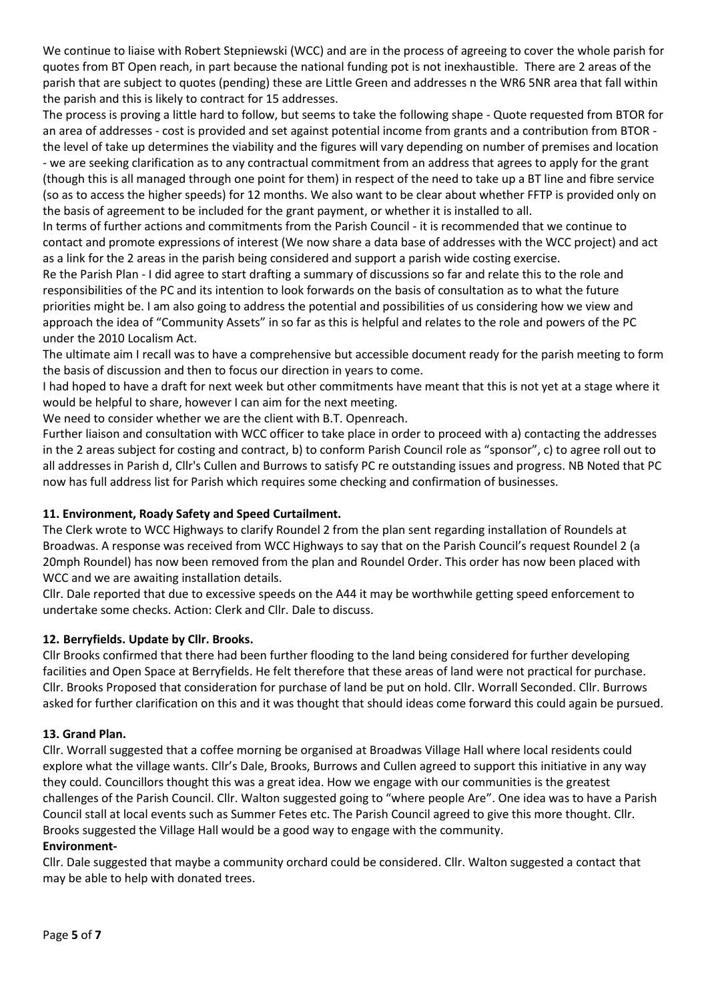We continue to liaise with Robert Stepniewski (WCC) and are in the process of agreeing to cover the whole parish for quotes from BT Open reach, in part because the national funding pot is not inexhaustible. There are 2 areas of the parish that are subject to quotes (pending) these are Little Green and addresses n the WR6 5NR area that fall within the parish and this is likely to contract for 15 addresses.

The process is proving a little hard to follow, but seems to take the following shape - Quote requested from BTOR for an area of addresses - cost is provided and set against potential income from grants and a contribution from BTOR the level of take up determines the viability and the figures will vary depending on number of premises and location - we are seeking clarification as to any contractual commitment from an address that agrees to apply for the grant (though this is all managed through one point for them) in respect of the need to take up a BT line and fibre service (so as to access the higher speeds) for 12 months. We also want to be clear about whether FFTP is provided only on the basis of agreement to be included for the grant payment, or whether it is installed to all.

In terms of further actions and commitments from the Parish Council - it is recommended that we continue to contact and promote expressions of interest (We now share a data base of addresses with the WCC project) and act as a link for the 2 areas in the parish being considered and support a parish wide costing exercise.

Re the Parish Plan - I did agree to start drafting a summary of discussions so far and relate this to the role and responsibilities of the PC and its intention to look forwards on the basis of consultation as to what the future priorities might be. I am also going to address the potential and possibilities of us considering how we view and approach the idea of "Community Assets" in so far as this is helpful and relates to the role and powers of the PC under the 2010 Localism Act.

The ultimate aim I recall was to have a comprehensive but accessible document ready for the parish meeting to form the basis of discussion and then to focus our direction in years to come.

I had hoped to have a draft for next week but other commitments have meant that this is not yet at a stage where it would be helpful to share, however I can aim for the next meeting.

We need to consider whether we are the client with B.T. Openreach.

Further liaison and consultation with WCC officer to take place in order to proceed with a) contacting the addresses in the 2 areas subject for costing and contract, b) to conform Parish Council role as "sponsor", c) to agree roll out to all addresses in Parish d, Cllr's Cullen and Burrows to satisfy PC re outstanding issues and progress. NB Noted that PC now has full address list for Parish which requires some checking and confirmation of businesses.

# **11. Environment, Roady Safety and Speed Curtailment.**

The Clerk wrote to WCC Highways to clarify Roundel 2 from the plan sent regarding installation of Roundels at Broadwas. A response was received from WCC Highways to say that on the Parish Council's request Roundel 2 (a 20mph Roundel) has now been removed from the plan and Roundel Order. This order has now been placed with WCC and we are awaiting installation details.

Cllr. Dale reported that due to excessive speeds on the A44 it may be worthwhile getting speed enforcement to undertake some checks. Action: Clerk and Cllr. Dale to discuss.

### **12. Berryfields. Update by Cllr. Brooks.**

Cllr Brooks confirmed that there had been further flooding to the land being considered for further developing facilities and Open Space at Berryfields. He felt therefore that these areas of land were not practical for purchase. Cllr. Brooks Proposed that consideration for purchase of land be put on hold. Cllr. Worrall Seconded. Cllr. Burrows asked for further clarification on this and it was thought that should ideas come forward this could again be pursued.

### **13. Grand Plan.**

Cllr. Worrall suggested that a coffee morning be organised at Broadwas Village Hall where local residents could explore what the village wants. Cllr's Dale, Brooks, Burrows and Cullen agreed to support this initiative in any way they could. Councillors thought this was a great idea. How we engage with our communities is the greatest challenges of the Parish Council. Cllr. Walton suggested going to "where people Are". One idea was to have a Parish Council stall at local events such as Summer Fetes etc. The Parish Council agreed to give this more thought. Cllr. Brooks suggested the Village Hall would be a good way to engage with the community.

### **Environment-**

Cllr. Dale suggested that maybe a community orchard could be considered. Cllr. Walton suggested a contact that may be able to help with donated trees.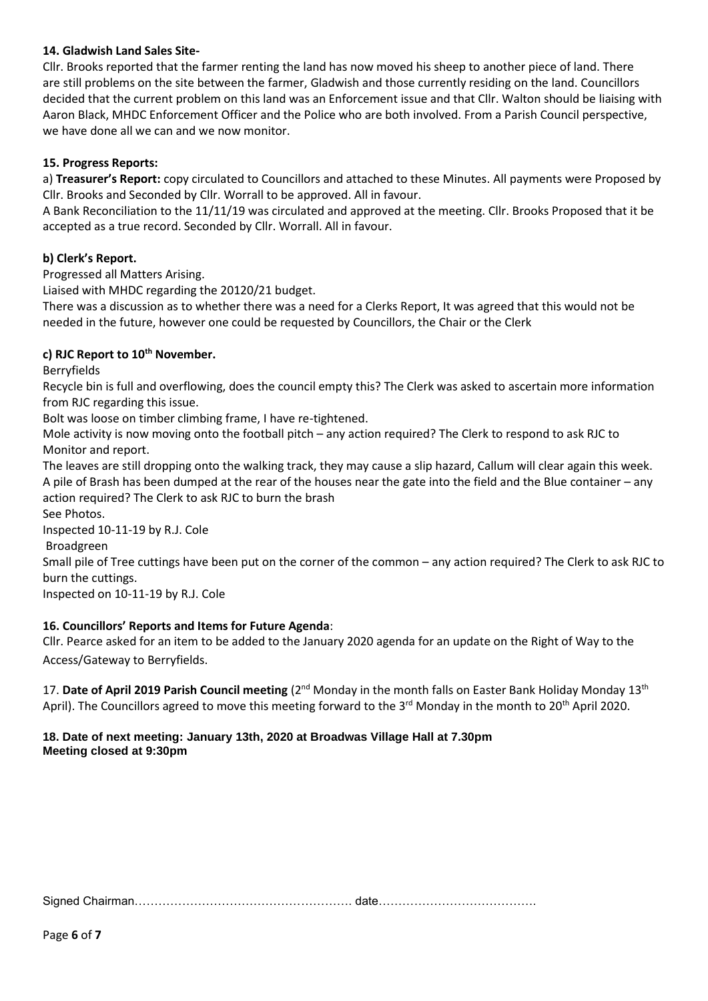#### **14. Gladwish Land Sales Site-**

Cllr. Brooks reported that the farmer renting the land has now moved his sheep to another piece of land. There are still problems on the site between the farmer, Gladwish and those currently residing on the land. Councillors decided that the current problem on this land was an Enforcement issue and that Cllr. Walton should be liaising with Aaron Black, MHDC Enforcement Officer and the Police who are both involved. From a Parish Council perspective, we have done all we can and we now monitor.

#### **15. Progress Reports:**

a) **Treasurer's Report:** copy circulated to Councillors and attached to these Minutes. All payments were Proposed by Cllr. Brooks and Seconded by Cllr. Worrall to be approved. All in favour.

A Bank Reconciliation to the 11/11/19 was circulated and approved at the meeting. Cllr. Brooks Proposed that it be accepted as a true record. Seconded by Cllr. Worrall. All in favour.

#### **b) Clerk's Report.**

Progressed all Matters Arising.

Liaised with MHDC regarding the 20120/21 budget.

There was a discussion as to whether there was a need for a Clerks Report, It was agreed that this would not be needed in the future, however one could be requested by Councillors, the Chair or the Clerk

### **c) RJC Report to 10 th November.**

Berryfields

Recycle bin is full and overflowing, does the council empty this? The Clerk was asked to ascertain more information from RJC regarding this issue.

Bolt was loose on timber climbing frame, I have re-tightened.

Mole activity is now moving onto the football pitch – any action required? The Clerk to respond to ask RJC to Monitor and report.

The leaves are still dropping onto the walking track, they may cause a slip hazard, Callum will clear again this week. A pile of Brash has been dumped at the rear of the houses near the gate into the field and the Blue container – any action required? The Clerk to ask RJC to burn the brash

See Photos.

Inspected 10-11-19 by R.J. Cole

Broadgreen

Small pile of Tree cuttings have been put on the corner of the common – any action required? The Clerk to ask RJC to burn the cuttings.

Inspected on 10-11-19 by R.J. Cole

#### **16. Councillors' Reports and Items for Future Agenda**:

Cllr. Pearce asked for an item to be added to the January 2020 agenda for an update on the Right of Way to the Access/Gateway to Berryfields.

17. **Date of April 2019 Parish Council meeting** (2<sup>nd</sup> Monday in the month falls on Easter Bank Holiday Monday 13<sup>th</sup> April). The Councillors agreed to move this meeting forward to the 3<sup>rd</sup> Monday in the month to 20<sup>th</sup> April 2020.

#### **18. Date of next meeting: January 13th, 2020 at Broadwas Village Hall at 7.30pm Meeting closed at 9:30pm**

Signed Chairman………………………………………………. date………………………………….